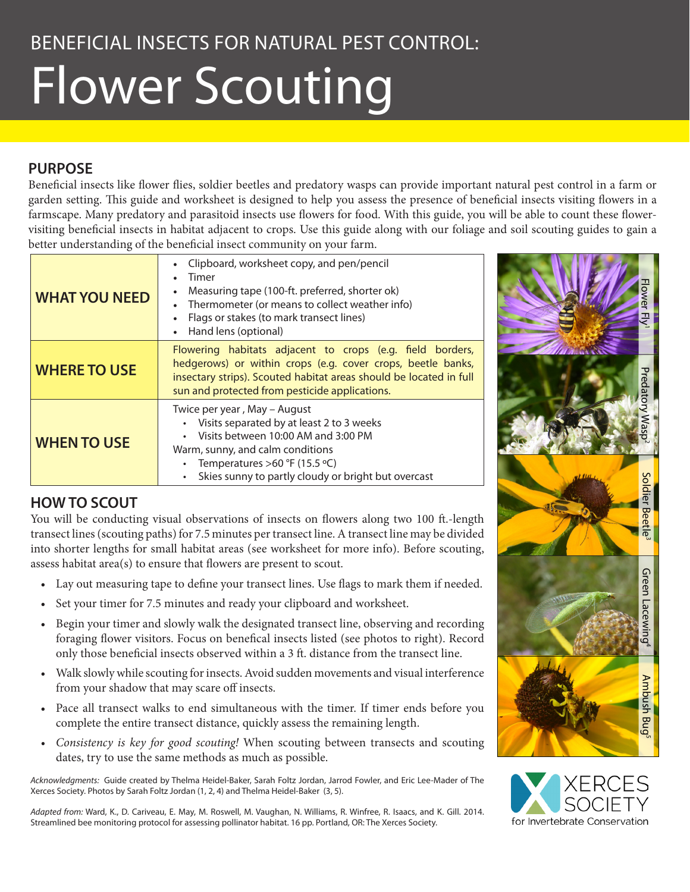# Flower Scouting

## **PURPOSE**

Beneficial insects like flower flies, soldier beetles and predatory wasps can provide important natural pest control in a farm or garden setting. This guide and worksheet is designed to help you assess the presence of beneficial insects visiting flowers in a farmscape. Many predatory and parasitoid insects use flowers for food. With this guide, you will be able to count these flowervisiting beneficial insects in habitat adjacent to crops. Use this guide along with our foliage and soil scouting guides to gain a better understanding of the beneficial insect community on your farm.

| <b>WHAT YOU NEED</b> | Clipboard, worksheet copy, and pen/pencil<br>Timer<br>Measuring tape (100-ft. preferred, shorter ok)<br>Thermometer (or means to collect weather info)<br>$\bullet$<br>Flags or stakes (to mark transect lines)<br>Hand lens (optional)          |  |  |  |  |  |  |
|----------------------|--------------------------------------------------------------------------------------------------------------------------------------------------------------------------------------------------------------------------------------------------|--|--|--|--|--|--|
| <b>WHERE TO USE</b>  | Flowering habitats adjacent to crops (e.g. field borders,<br>hedgerows) or within crops (e.g. cover crops, beetle banks,<br>insectary strips). Scouted habitat areas should be located in full<br>sun and protected from pesticide applications. |  |  |  |  |  |  |
| <b>WHEN TO USE</b>   | Twice per year, May - August<br>Visits separated by at least 2 to 3 weeks<br>Visits between 10:00 AM and 3:00 PM<br>Warm, sunny, and calm conditions<br>Temperatures >60 °F (15.5 °C)<br>Skies sunny to partly cloudy or bright but overcast     |  |  |  |  |  |  |

## **HOW TO SCOUT**

You will be conducting visual observations of insects on flowers along two 100 ft.-length transect lines (scouting paths) for 7.5 minutes per transect line. A transect line may be divided into shorter lengths for small habitat areas (see worksheet for more info). Before scouting, assess habitat area(s) to ensure that flowers are present to scout.

- Lay out measuring tape to define your transect lines. Use flags to mark them if needed.
- Set your timer for 7.5 minutes and ready your clipboard and worksheet.
- • Begin your timer and slowly walk the designated transect line, observing and recording foraging flower visitors. Focus on benefical insects listed (see photos to right). Record only those beneficial insects observed within a 3 ft. distance from the transect line.
- • Walk slowly while scouting for insects. Avoid sudden movements and visual interference from your shadow that may scare off insects.
- • Pace all transect walks to end simultaneous with the timer. If timer ends before you complete the entire transect distance, quickly assess the remaining length.
- *• Consistency is key for good scouting!* When scouting between transects and scouting dates, try to use the same methods as much as possible.

*Acknowledgments:* Guide created by Thelma Heidel-Baker, Sarah Foltz Jordan, Jarrod Fowler, and Eric Lee-Mader of The Xerces Society. Photos by Sarah Foltz Jordan (1, 2, 4) and Thelma Heidel-Baker (3, 5).

*Adapted from:* Ward, K., D. Cariveau, E. May, M. Roswell, M. Vaughan, N. Williams, R. Winfree, R. Isaacs, and K. Gill. 2014. Streamlined bee monitoring protocol for assessing pollinator habitat. 16 pp. Portland, OR: The Xerces Society.